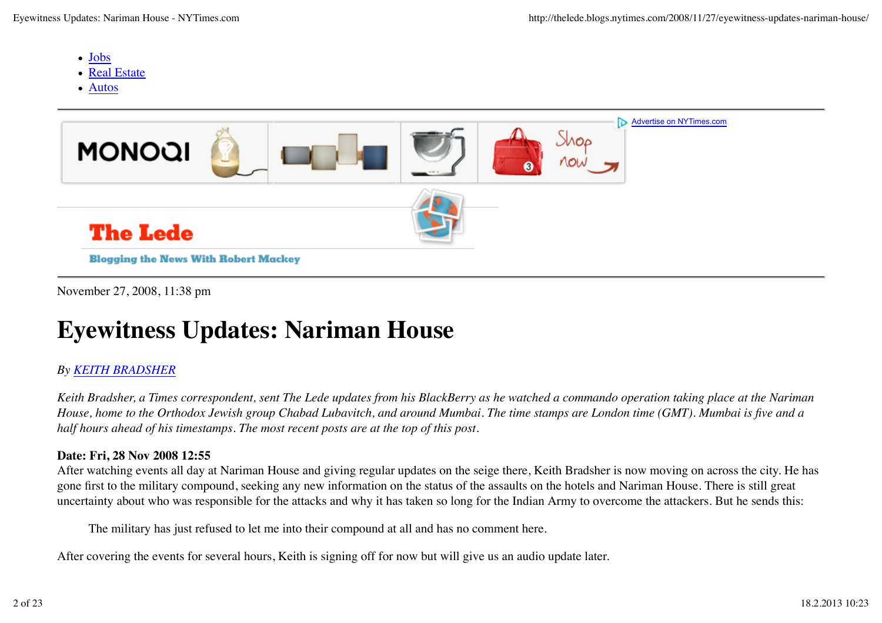- Jobs
- Real Estate
- Autos



November 27, 2008, 11:38 pm

# **Eyewitness Updates: Nariman House**

# *By KEITH BRADSHER*

*Keith Bradsher, a Times correspondent, sent The Lede updates from his BlackBerry as he watched a commando operation taking place at the Nariman House, home to the Orthodox Jewish group Chabad Lubavitch, and around Mumbai. The time stamps are London time (GMT). Mumbai is five and a half hours ahead of his timestamps. The most recent posts are at the top of this post.*

# **Date: Fri, 28 Nov 2008 12:55**

After watching events all day at Nariman House and giving regular updates on the seige there, Keith Bradsher is now moving on across the city. He has gone first to the military compound, seeking any new information on the status of the assaults on the hotels and Nariman House. There is still great uncertainty about who was responsible for the attacks and why it has taken so long for the Indian Army to overcome the attackers. But he sends this:

The military has just refused to let me into their compound at all and has no comment here.

After covering the events for several hours, Keith is signing off for now but will give us an audio update later.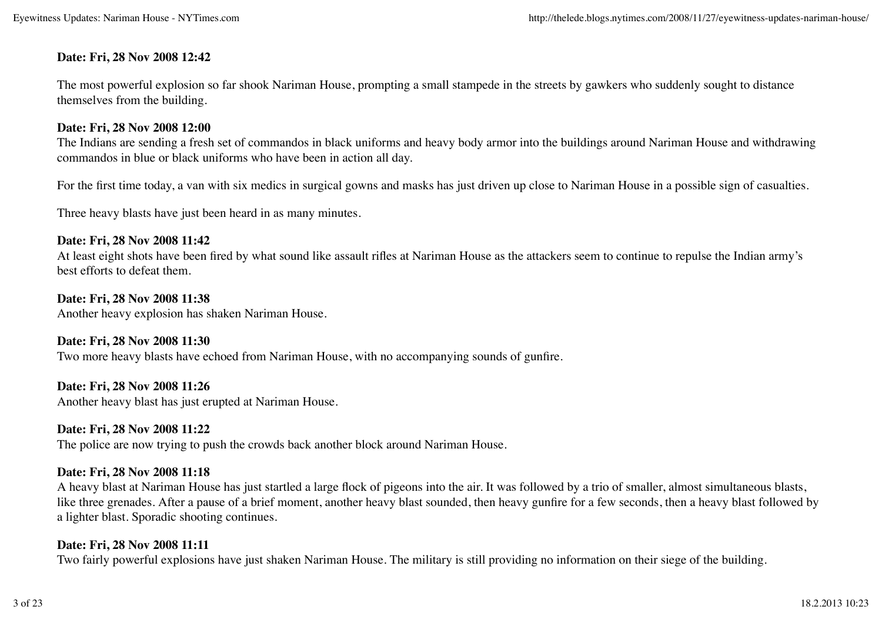## **Date: Fri, 28 Nov 2008 12:42**

The most powerful explosion so far shook Nariman House, prompting a small stampede in the streets by gawkers who suddenly sought to distance themselves from the building.

## **Date: Fri, 28 Nov 2008 12:00**

The Indians are sending a fresh set of commandos in black uniforms and heavy body armor into the buildings around Nariman House and withdrawing commandos in blue or black uniforms who have been in action all day.

For the first time today, a van with six medics in surgical gowns and masks has just driven up close to Nariman House in a possible sign of casualties.

Three heavy blasts have just been heard in as many minutes.

## **Date: Fri, 28 Nov 2008 11:42**

At least eight shots have been fired by what sound like assault rifles at Nariman House as the attackers seem to continue to repulse the Indian army's best efforts to defeat them.

**Date: Fri, 28 Nov 2008 11:38** Another heavy explosion has shaken Nariman House.

**Date: Fri, 28 Nov 2008 11:30** Two more heavy blasts have echoed from Nariman House, with no accompanying sounds of gunfire.

# **Date: Fri, 28 Nov 2008 11:26**

Another heavy blast has just erupted at Nariman House.

## **Date: Fri, 28 Nov 2008 11:22**

The police are now trying to push the crowds back another block around Nariman House.

## **Date: Fri, 28 Nov 2008 11:18**

A heavy blast at Nariman House has just startled a large flock of pigeons into the air. It was followed by a trio of smaller, almost simultaneous blasts, like three grenades. After a pause of a brief moment, another heavy blast sounded, then heavy gunfire for a few seconds, then a heavy blast followed by a lighter blast. Sporadic shooting continues.

## **Date: Fri, 28 Nov 2008 11:11**

Two fairly powerful explosions have just shaken Nariman House. The military is still providing no information on their siege of the building.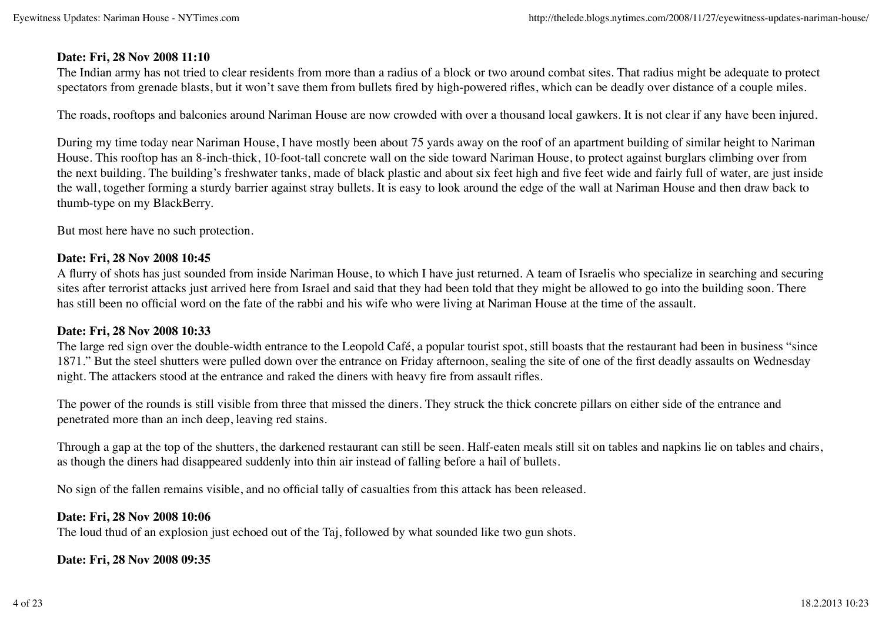## **Date: Fri, 28 Nov 2008 11:10**

The Indian army has not tried to clear residents from more than a radius of a block or two around combat sites. That radius might be adequate to protect spectators from grenade blasts, but it won't save them from bullets fired by high-powered rifles, which can be deadly over distance of a couple miles.

The roads, rooftops and balconies around Nariman House are now crowded with over a thousand local gawkers. It is not clear if any have been injured.

During my time today near Nariman House, I have mostly been about 75 yards away on the roof of an apartment building of similar height to Nariman House. This rooftop has an 8-inch-thick, 10-foot-tall concrete wall on the side toward Nariman House, to protect against burglars climbing over from the next building. The building's freshwater tanks, made of black plastic and about six feet high and five feet wide and fairly full of water, are just inside the wall, together forming a sturdy barrier against stray bullets. It is easy to look around the edge of the wall at Nariman House and then draw back to thumb-type on my BlackBerry.

But most here have no such protection.

## **Date: Fri, 28 Nov 2008 10:45**

A flurry of shots has just sounded from inside Nariman House, to which I have just returned. A team of Israelis who specialize in searching and securing sites after terrorist attacks just arrived here from Israel and said that they had been told that they might be allowed to go into the building soon. There has still been no official word on the fate of the rabbi and his wife who were living at Nariman House at the time of the assault.

## **Date: Fri, 28 Nov 2008 10:33**

The large red sign over the double-width entrance to the Leopold Café, a popular tourist spot, still boasts that the restaurant had been in business "since 1871." But the steel shutters were pulled down over the entrance on Friday afternoon, sealing the site of one of the first deadly assaults on Wednesday night. The attackers stood at the entrance and raked the diners with heavy fire from assault rifles.

The power of the rounds is still visible from three that missed the diners. They struck the thick concrete pillars on either side of the entrance and penetrated more than an inch deep, leaving red stains.

Through a gap at the top of the shutters, the darkened restaurant can still be seen. Half-eaten meals still sit on tables and napkins lie on tables and chairs, as though the diners had disappeared suddenly into thin air instead of falling before a hail of bullets.

No sign of the fallen remains visible, and no official tally of casualties from this attack has been released.

## **Date: Fri, 28 Nov 2008 10:06**

The loud thud of an explosion just echoed out of the Taj, followed by what sounded like two gun shots.

## **Date: Fri, 28 Nov 2008 09:35**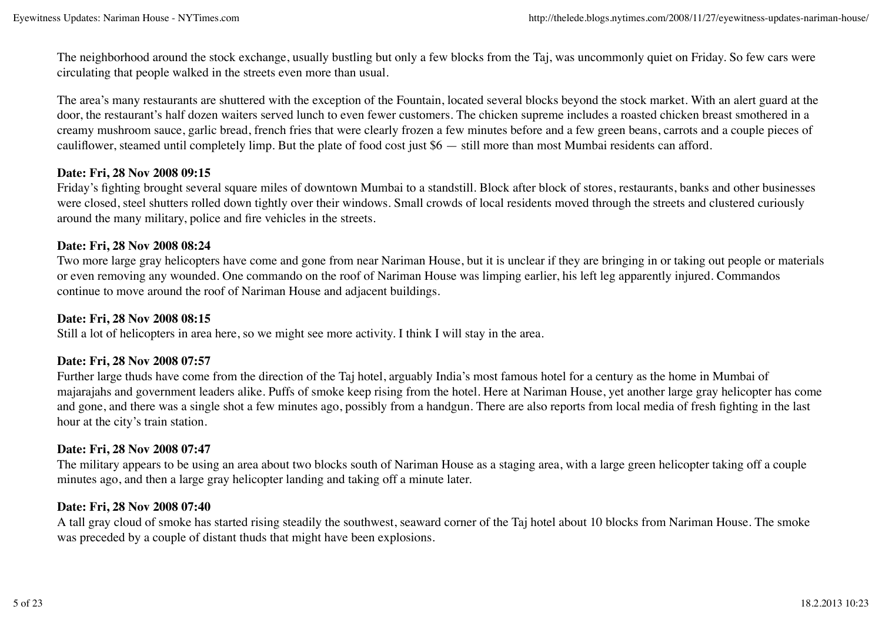The neighborhood around the stock exchange, usually bustling but only a few blocks from the Taj, was uncommonly quiet on Friday. So few cars were circulating that people walked in the streets even more than usual.

The area's many restaurants are shuttered with the exception of the Fountain, located several blocks beyond the stock market. With an alert guard at the door, the restaurant's half dozen waiters served lunch to even fewer customers. The chicken supreme includes a roasted chicken breast smothered in a creamy mushroom sauce, garlic bread, french fries that were clearly frozen a few minutes before and a few green beans, carrots and a couple pieces of cauliflower, steamed until completely limp. But the plate of food cost just \$6 — still more than most Mumbai residents can afford.

## **Date: Fri, 28 Nov 2008 09:15**

Friday's fighting brought several square miles of downtown Mumbai to a standstill. Block after block of stores, restaurants, banks and other businesses were closed, steel shutters rolled down tightly over their windows. Small crowds of local residents moved through the streets and clustered curiously around the many military, police and fire vehicles in the streets.

## **Date: Fri, 28 Nov 2008 08:24**

Two more large gray helicopters have come and gone from near Nariman House, but it is unclear if they are bringing in or taking out people or materials or even removing any wounded. One commando on the roof of Nariman House was limping earlier, his left leg apparently injured. Commandos continue to move around the roof of Nariman House and adjacent buildings.

## **Date: Fri, 28 Nov 2008 08:15**

Still a lot of helicopters in area here, so we might see more activity. I think I will stay in the area.

## **Date: Fri, 28 Nov 2008 07:57**

Further large thuds have come from the direction of the Taj hotel, arguably India's most famous hotel for a century as the home in Mumbai of majarajahs and government leaders alike. Puffs of smoke keep rising from the hotel. Here at Nariman House, yet another large gray helicopter has come and gone, and there was a single shot a few minutes ago, possibly from a handgun. There are also reports from local media of fresh fighting in the last hour at the city's train station.

## **Date: Fri, 28 Nov 2008 07:47**

The military appears to be using an area about two blocks south of Nariman House as a staging area, with a large green helicopter taking off a couple minutes ago, and then a large gray helicopter landing and taking off a minute later.

## **Date: Fri, 28 Nov 2008 07:40**

A tall gray cloud of smoke has started rising steadily the southwest, seaward corner of the Taj hotel about 10 blocks from Nariman House. The smoke was preceded by a couple of distant thuds that might have been explosions.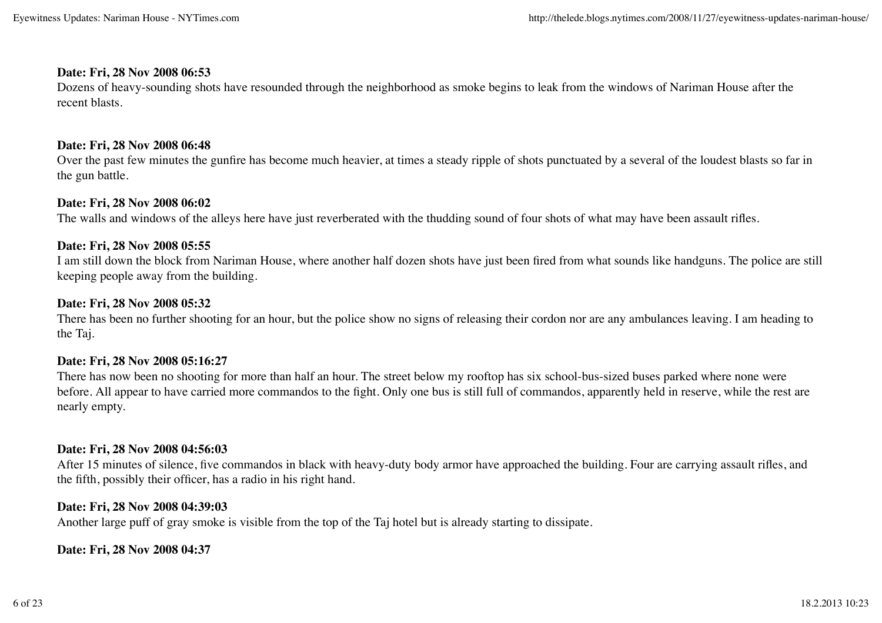#### **Date: Fri, 28 Nov 2008 06:53**

Dozens of heavy-sounding shots have resounded through the neighborhood as smoke begins to leak from the windows of Nariman House after the recent blasts.

#### **Date: Fri, 28 Nov 2008 06:48**

Over the past few minutes the gunfire has become much heavier, at times a steady ripple of shots punctuated by a several of the loudest blasts so far in the gun battle.

#### **Date: Fri, 28 Nov 2008 06:02**

The walls and windows of the alleys here have just reverberated with the thudding sound of four shots of what may have been assault rifles.

#### **Date: Fri, 28 Nov 2008 05:55**

I am still down the block from Nariman House, where another half dozen shots have just been fired from what sounds like handguns. The police are still keeping people away from the building.

#### **Date: Fri, 28 Nov 2008 05:32**

There has been no further shooting for an hour, but the police show no signs of releasing their cordon nor are any ambulances leaving. I am heading to the Taj.

#### **Date: Fri, 28 Nov 2008 05:16:27**

There has now been no shooting for more than half an hour. The street below my rooftop has six school-bus-sized buses parked where none were before. All appear to have carried more commandos to the fight. Only one bus is still full of commandos, apparently held in reserve, while the rest are nearly empty.

#### **Date: Fri, 28 Nov 2008 04:56:03**

After 15 minutes of silence, five commandos in black with heavy-duty body armor have approached the building. Four are carrying assault rifles, and the fifth, possibly their officer, has a radio in his right hand.

#### **Date: Fri, 28 Nov 2008 04:39:03**

Another large puff of gray smoke is visible from the top of the Taj hotel but is already starting to dissipate.

## **Date: Fri, 28 Nov 2008 04:37**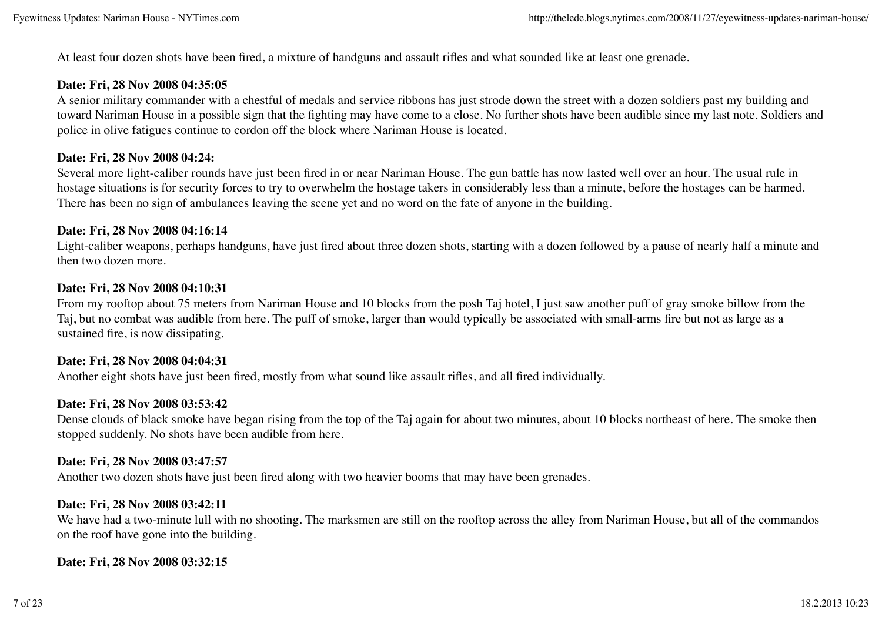At least four dozen shots have been fired, a mixture of handguns and assault rifles and what sounded like at least one grenade.

#### **Date: Fri, 28 Nov 2008 04:35:05**

A senior military commander with a chestful of medals and service ribbons has just strode down the street with a dozen soldiers past my building and toward Nariman House in a possible sign that the fighting may have come to a close. No further shots have been audible since my last note. Soldiers and police in olive fatigues continue to cordon off the block where Nariman House is located.

## **Date: Fri, 28 Nov 2008 04:24:**

Several more light-caliber rounds have just been fired in or near Nariman House. The gun battle has now lasted well over an hour. The usual rule in hostage situations is for security forces to try to overwhelm the hostage takers in considerably less than a minute, before the hostages can be harmed. There has been no sign of ambulances leaving the scene yet and no word on the fate of anyone in the building.

#### **Date: Fri, 28 Nov 2008 04:16:14**

Light-caliber weapons, perhaps handguns, have just fired about three dozen shots, starting with a dozen followed by a pause of nearly half a minute and then two dozen more.

#### **Date: Fri, 28 Nov 2008 04:10:31**

From my rooftop about 75 meters from Nariman House and 10 blocks from the posh Taj hotel, I just saw another puff of gray smoke billow from the Taj, but no combat was audible from here. The puff of smoke, larger than would typically be associated with small-arms fire but not as large as a sustained fire, is now dissipating.

#### **Date: Fri, 28 Nov 2008 04:04:31**

Another eight shots have just been fired, mostly from what sound like assault rifles, and all fired individually.

#### **Date: Fri, 28 Nov 2008 03:53:42**

Dense clouds of black smoke have began rising from the top of the Taj again for about two minutes, about 10 blocks northeast of here. The smoke then stopped suddenly. No shots have been audible from here.

#### **Date: Fri, 28 Nov 2008 03:47:57**

Another two dozen shots have just been fired along with two heavier booms that may have been grenades.

#### **Date: Fri, 28 Nov 2008 03:42:11**

We have had a two-minute lull with no shooting. The marksmen are still on the rooftop across the alley from Nariman House, but all of the commandos on the roof have gone into the building.

## **Date: Fri, 28 Nov 2008 03:32:15**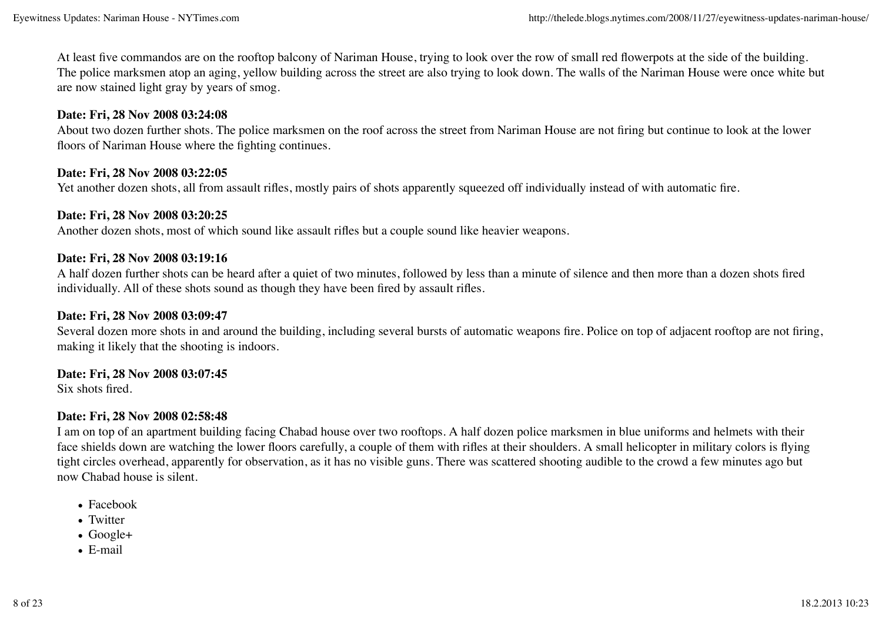At least five commandos are on the rooftop balcony of Nariman House, trying to look over the row of small red flowerpots at the side of the building. The police marksmen atop an aging, yellow building across the street are also trying to look down. The walls of the Nariman House were once white but are now stained light gray by years of smog.

## **Date: Fri, 28 Nov 2008 03:24:08**

About two dozen further shots. The police marksmen on the roof across the street from Nariman House are not firing but continue to look at the lower floors of Nariman House where the fighting continues.

#### **Date: Fri, 28 Nov 2008 03:22:05**

Yet another dozen shots, all from assault rifles, mostly pairs of shots apparently squeezed off individually instead of with automatic fire.

#### **Date: Fri, 28 Nov 2008 03:20:25**

Another dozen shots, most of which sound like assault rifles but a couple sound like heavier weapons.

#### **Date: Fri, 28 Nov 2008 03:19:16**

A half dozen further shots can be heard after a quiet of two minutes, followed by less than a minute of silence and then more than a dozen shots fired individually. All of these shots sound as though they have been fired by assault rifles.

#### **Date: Fri, 28 Nov 2008 03:09:47**

Several dozen more shots in and around the building, including several bursts of automatic weapons fire. Police on top of adjacent rooftop are not firing, making it likely that the shooting is indoors.

#### **Date: Fri, 28 Nov 2008 03:07:45**

Six shots fired.

#### **Date: Fri, 28 Nov 2008 02:58:48**

I am on top of an apartment building facing Chabad house over two rooftops. A half dozen police marksmen in blue uniforms and helmets with their face shields down are watching the lower floors carefully, a couple of them with rifles at their shoulders. A small helicopter in military colors is flying tight circles overhead, apparently for observation, as it has no visible guns. There was scattered shooting audible to the crowd a few minutes ago but now Chabad house is silent.

- Facebook
- Twitter
- Google+
- E-mail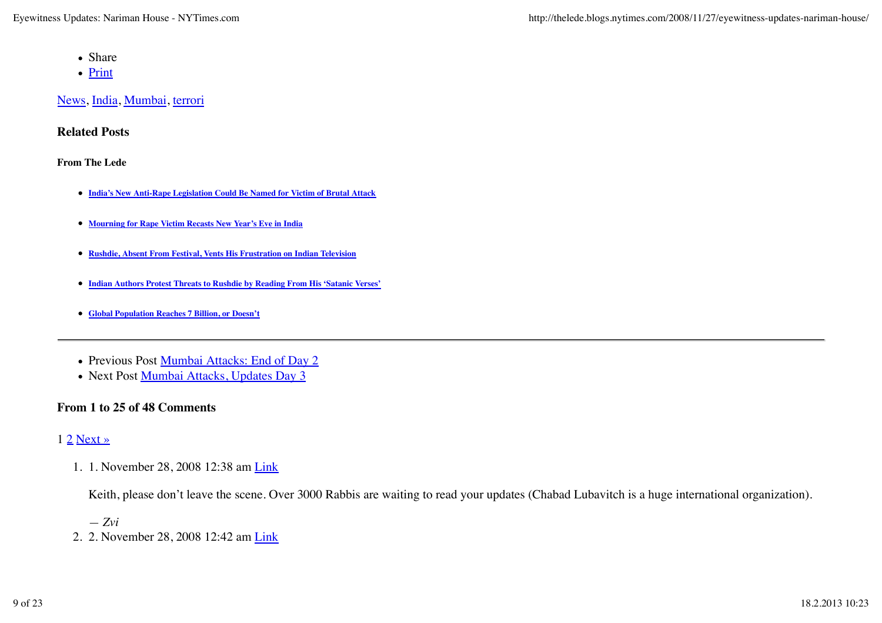- Share
- Print

News, India, Mumbai, terrori

#### **Related Posts**

**From The Lede**

- **India's New Anti-Rape Legislation Could Be Named for Victim of Brutal Attack**
- **Mourning for Rape Victim Recasts New Year's Eve in India**
- **Rushdie, Absent From Festival, Vents His Frustration on Indian Television**
- **Indian Authors Protest Threats to Rushdie by Reading From His 'Satanic Verses'**
- **Global Population Reaches 7 Billion, or Doesn't**
- Previous Post Mumbai Attacks: End of Day 2
- Next Post Mumbai Attacks, Updates Day 3

## **From 1 to 25 of 48 Comments**

# $1 2$  Next »

1. 1. November 28, 2008 12:38 am Link

Keith, please don't leave the scene. Over 3000 Rabbis are waiting to read your updates (Chabad Lubavitch is a huge international organization).

*— Zvi*

2. 2. November 28, 2008 12:42 am Link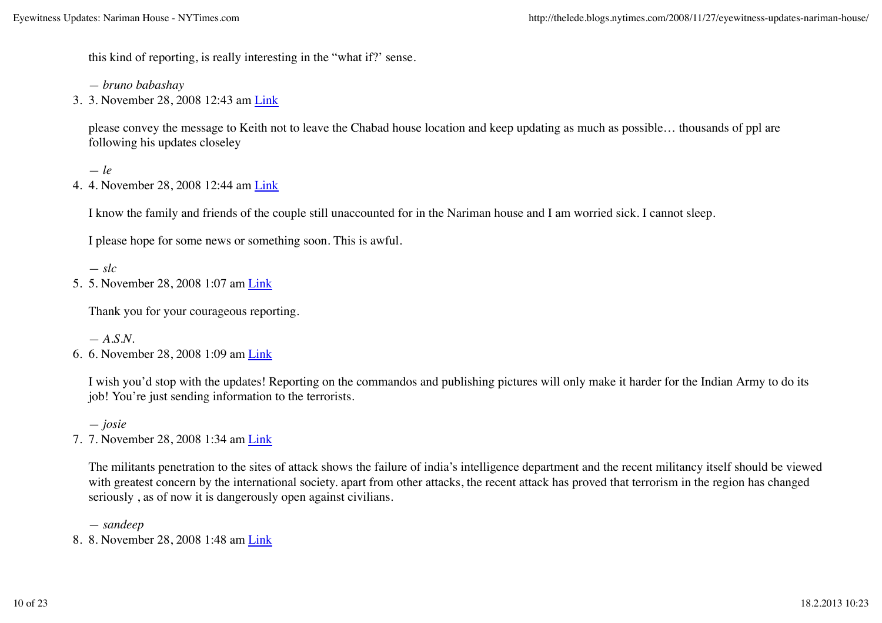this kind of reporting, is really interesting in the "what if?' sense.

*— bruno babashay*

3. 3. November 28, 2008 12:43 am <u>Link</u>

please convey the message to Keith not to leave the Chabad house location and keep updating as much as possible… thousands of ppl are following his updates closeley

*— le*

4. 4. November 28, 2008 12:44 am <u>Link</u>

I know the family and friends of the couple still unaccounted for in the Nariman house and I am worried sick. I cannot sleep.

I please hope for some news or something soon. This is awful.

*— slc*

5. 5. November 28, 2008 1:07 am Link

Thank you for your courageous reporting.

*— A.S.N.*

6. 6. November 28, 2008 1:09 am <u>Link</u>

I wish you'd stop with the updates! Reporting on the commandos and publishing pictures will only make it harder for the Indian Army to do its job! You're just sending information to the terrorists.

*— josie*

7. 7. November 28, 2008 1:34 am <u>Link</u>

The militants penetration to the sites of attack shows the failure of india's intelligence department and the recent militancy itself should be viewed with greatest concern by the international society. apart from other attacks, the recent attack has proved that terrorism in the region has changed seriously , as of now it is dangerously open against civilians.

*— sandeep*

8. 8. November 28, 2008 1:48 am Link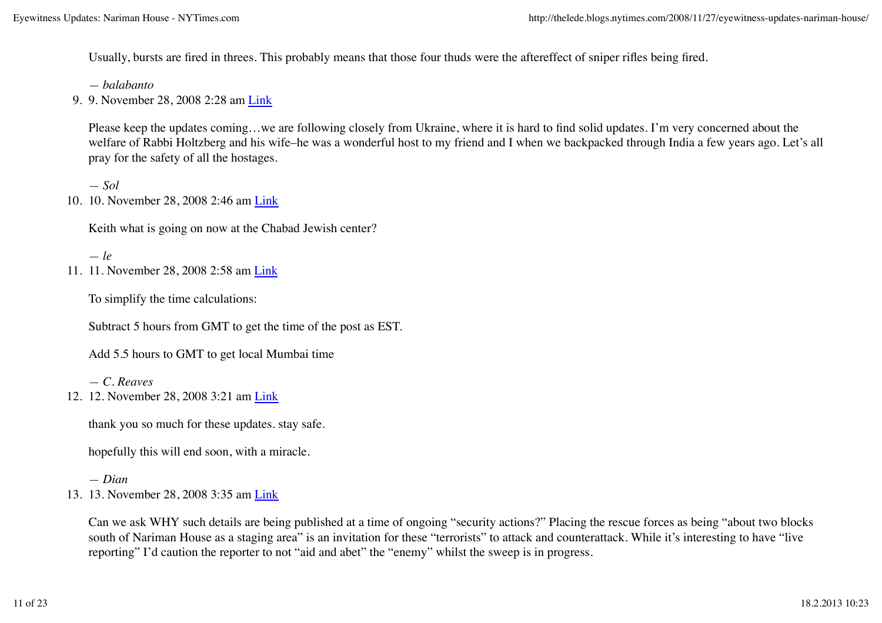Usually, bursts are fired in threes. This probably means that those four thuds were the aftereffect of sniper rifles being fired.

*— balabanto*

9. 9. November 28, 2008 2:28 am <u>Link</u>

Please keep the updates coming…we are following closely from Ukraine, where it is hard to find solid updates. I'm very concerned about the welfare of Rabbi Holtzberg and his wife–he was a wonderful host to my friend and I when we backpacked through India a few years ago. Let's all pray for the safety of all the hostages.

*— Sol*

10. 10. November 28, 2008 2:46 am Link

Keith what is going on now at the Chabad Jewish center?

*— le*

11. 11. November 28, 2008 2:58 am Link

To simplify the time calculations:

Subtract 5 hours from GMT to get the time of the post as EST.

Add 5.5 hours to GMT to get local Mumbai time

*— C. Reaves*

12. 12. November 28, 2008 3:21 am Link

thank you so much for these updates. stay safe.

hopefully this will end soon, with a miracle.

*— Dian*

13. 13. November 28, 2008 3:35 am Link

Can we ask WHY such details are being published at a time of ongoing "security actions?" Placing the rescue forces as being "about two blocks south of Nariman House as a staging area" is an invitation for these "terrorists" to attack and counterattack. While it's interesting to have "live reporting" I'd caution the reporter to not "aid and abet" the "enemy" whilst the sweep is in progress.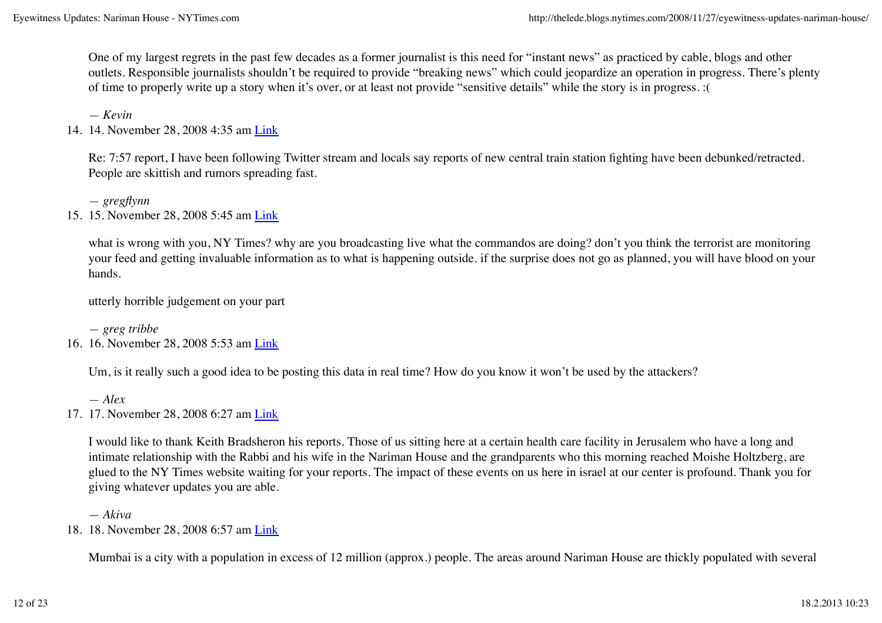One of my largest regrets in the past few decades as a former journalist is this need for "instant news" as practiced by cable, blogs and other outlets. Responsible journalists shouldn't be required to provide "breaking news" which could jeopardize an operation in progress. There's plenty of time to properly write up a story when it's over, or at least not provide "sensitive details" while the story is in progress. :(

*— Kevin*

14. 14. November 28, 2008 4:35 am Link

Re: 7:57 report, I have been following Twitter stream and locals say reports of new central train station fighting have been debunked/retracted. People are skittish and rumors spreading fast.

*— gregflynn*

15. 15. November 28, 2008 5:45 am Link

what is wrong with you, NY Times? why are you broadcasting live what the commandos are doing? don't you think the terrorist are monitoring your feed and getting invaluable information as to what is happening outside. if the surprise does not go as planned, you will have blood on your hands.

utterly horrible judgement on your part

*— greg tribbe*

16. 16. November 28, 2008 5:53 am Link

Um, is it really such a good idea to be posting this data in real time? How do you know it won't be used by the attackers?

*— Alex*

17. 17. November 28, 2008 6:27 am Link

I would like to thank Keith Bradsheron his reports. Those of us sitting here at a certain health care facility in Jerusalem who have a long and intimate relationship with the Rabbi and his wife in the Nariman House and the grandparents who this morning reached Moishe Holtzberg, are glued to the NY Times website waiting for your reports. The impact of these events on us here in israel at our center is profound. Thank you for giving whatever updates you are able.

*— Akiva*

18. 18. November 28, 2008 6:57 am Link

Mumbai is a city with a population in excess of 12 million (approx.) people. The areas around Nariman House are thickly populated with several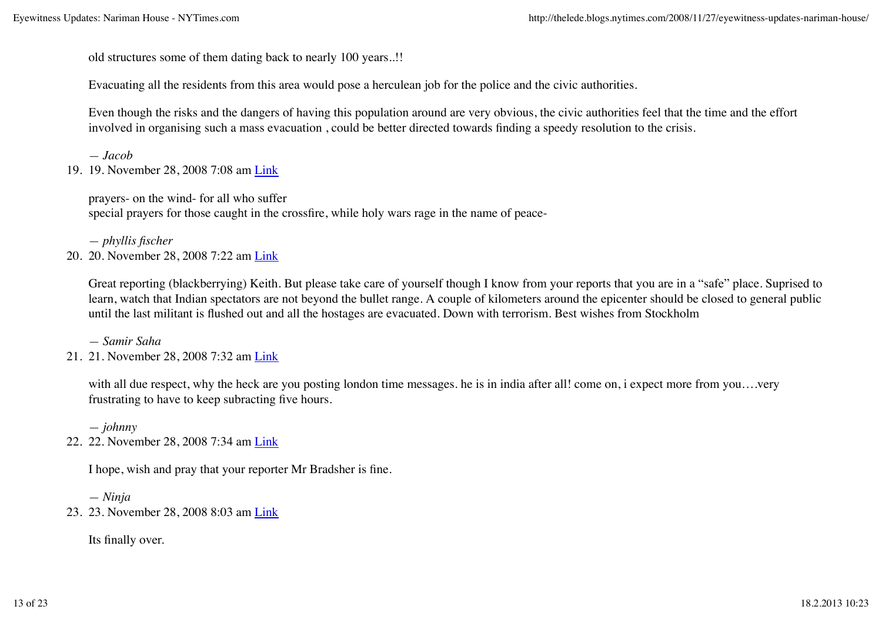old structures some of them dating back to nearly 100 years..!!

Evacuating all the residents from this area would pose a herculean job for the police and the civic authorities.

Even though the risks and the dangers of having this population around are very obvious, the civic authorities feel that the time and the effort involved in organising such a mass evacuation , could be better directed towards finding a speedy resolution to the crisis.

*— Jacob*

19. 19. November 28, 2008 7:08 am Link

prayers- on the wind- for all who suffer special prayers for those caught in the crossfire, while holy wars rage in the name of peace-

*— phyllis fischer* 20. 20. November 28, 2008 7:22 am <u>Link</u>

Great reporting (blackberrying) Keith. But please take care of yourself though I know from your reports that you are in a "safe" place. Suprised to learn, watch that Indian spectators are not beyond the bullet range. A couple of kilometers around the epicenter should be closed to general public until the last militant is flushed out and all the hostages are evacuated. Down with terrorism. Best wishes from Stockholm

*— Samir Saha*

21. 21. November 28, 2008 7:32 am <u>Link</u>

with all due respect, why the heck are you posting london time messages. he is in india after all! come on, i expect more from you....very frustrating to have to keep subracting five hours.

*— johnny*

22. 22. November 28, 2008 7:34 am <u>Link</u>

I hope, wish and pray that your reporter Mr Bradsher is fine.

*— Ninja*

23. 23. November 28, 2008 8:03 am <u>Link</u>

Its finally over.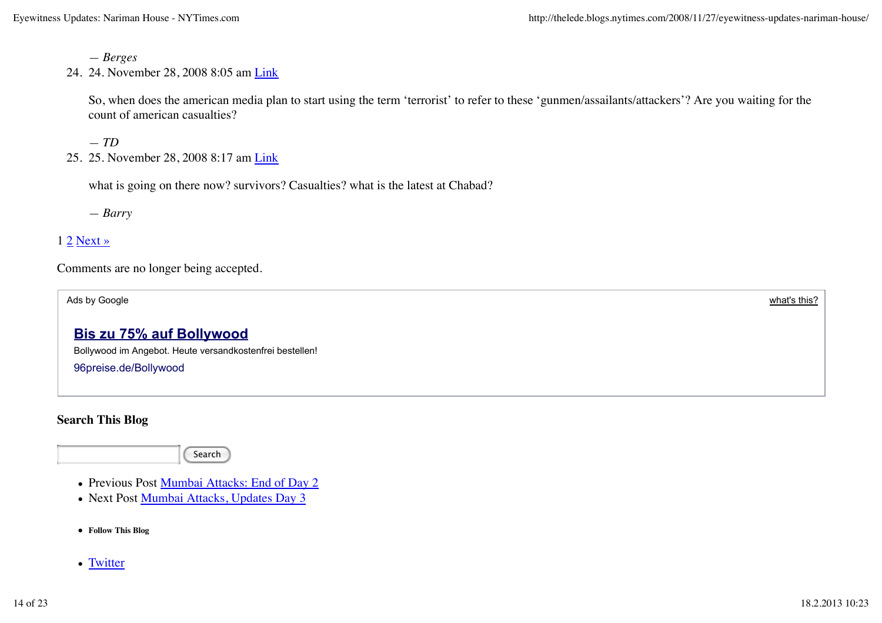*— Berges*

24. 24. November 28, 2008 8:05 am <u>Link</u>

So, when does the american media plan to start using the term 'terrorist' to refer to these 'gunmen/assailants/attackers'? Are you waiting for the count of american casualties?

*— TD*

25. 25. November 28, 2008 8:17 am <u>Link</u>

what is going on there now? survivors? Casualties? what is the latest at Chabad?

*— Barry*

## 1 2 Next »

Comments are no longer being accepted.

Ads by Google what's this?

# **Bis zu 75% auf Bollywood**

Bollywood im Angebot. Heute versandkostenfrei bestellen!

96preise.de/Bollywood

## **Search This Blog**

Search

- Previous Post Mumbai Attacks: End of Day 2
- Next Post Mumbai Attacks, Updates Day 3
- **Follow This Blog**
- Twitter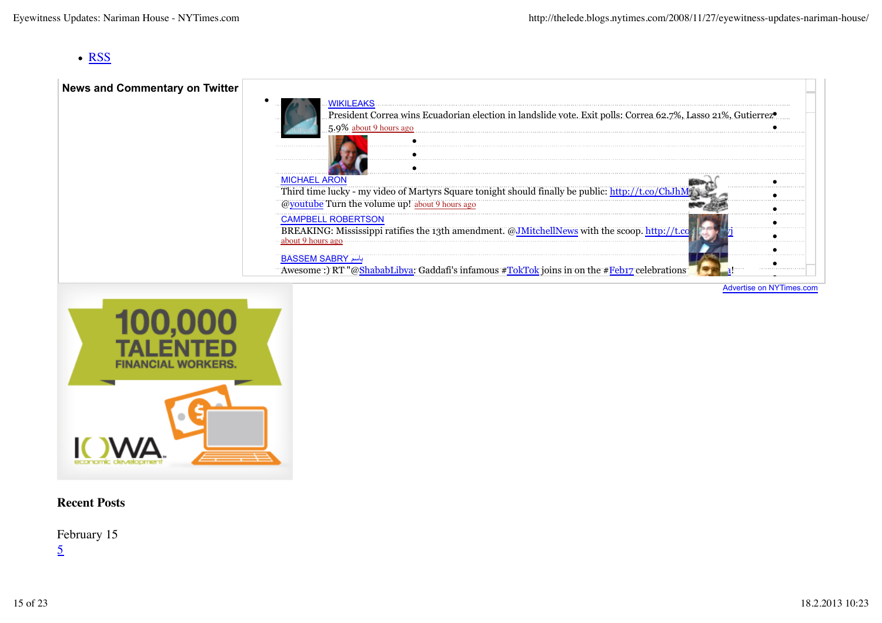



Advertise on NYTimes.com



## **Recent Posts**

February 15 5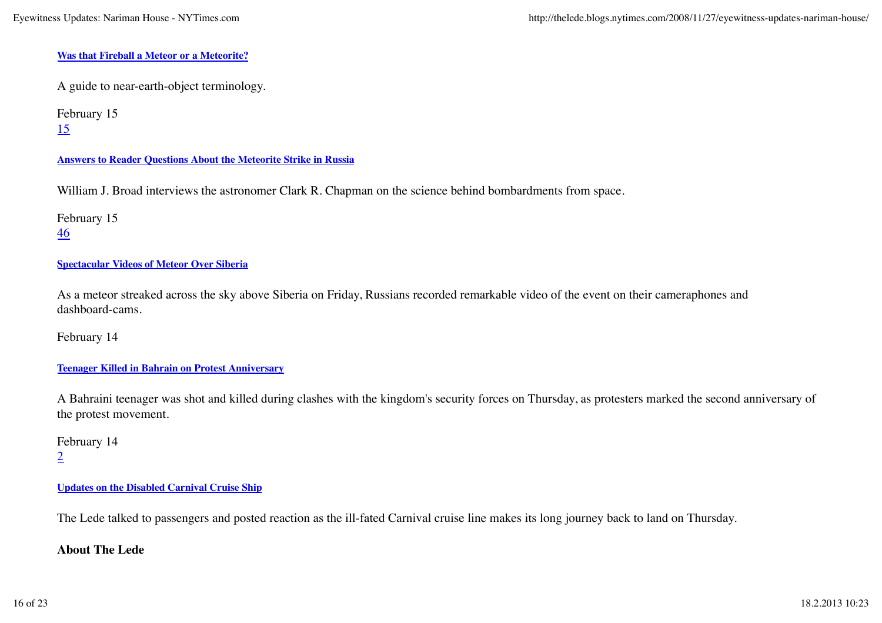#### **Was that Fireball a Meteor or a Meteorite?**

A guide to near-earth-object terminology.

February 15 15

#### **Answers to Reader Questions About the Meteorite Strike in Russia**

William J. Broad interviews the astronomer Clark R. Chapman on the science behind bombardments from space.

February 15 46

#### **Spectacular Videos of Meteor Over Siberia**

As a meteor streaked across the sky above Siberia on Friday, Russians recorded remarkable video of the event on their cameraphones and dashboard-cams.

February 14

#### **Teenager Killed in Bahrain on Protest Anniversary**

A Bahraini teenager was shot and killed during clashes with the kingdom's security forces on Thursday, as protesters marked the second anniversary of the protest movement.

February 14 2

#### **Updates on the Disabled Carnival Cruise Ship**

The Lede talked to passengers and posted reaction as the ill-fated Carnival cruise line makes its long journey back to land on Thursday.

## **About The Lede**